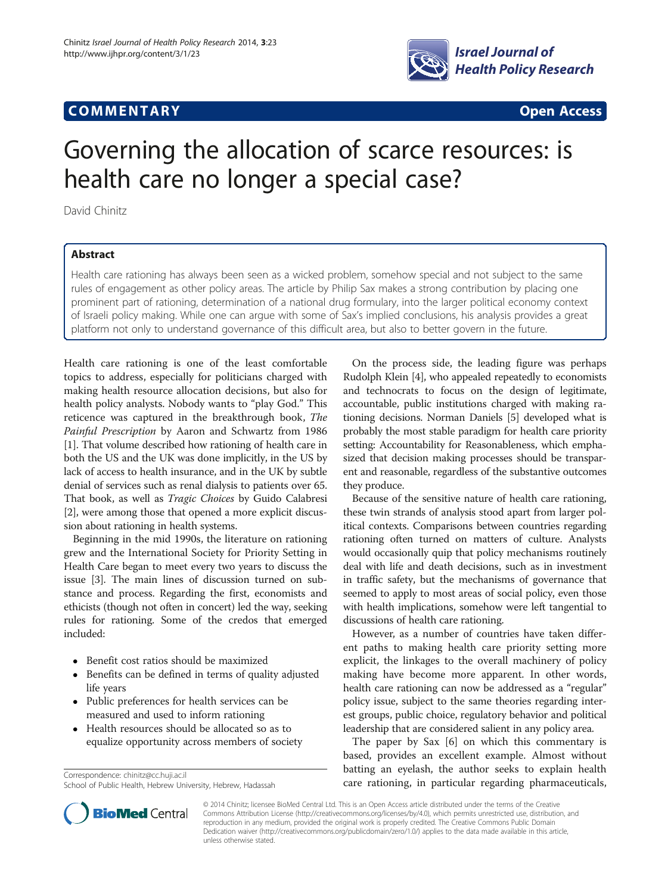# **COMMENTARY COMMENTARY Open Access**



# Governing the allocation of scarce resources: is health care no longer a special case?

David Chinitz

# Abstract

Health care rationing has always been seen as a wicked problem, somehow special and not subject to the same rules of engagement as other policy areas. The article by Philip Sax makes a strong contribution by placing one prominent part of rationing, determination of a national drug formulary, into the larger political economy context of Israeli policy making. While one can argue with some of Sax's implied conclusions, his analysis provides a great platform not only to understand governance of this difficult area, but also to better govern in the future.

Health care rationing is one of the least comfortable topics to address, especially for politicians charged with making health resource allocation decisions, but also for health policy analysts. Nobody wants to "play God." This reticence was captured in the breakthrough book, The Painful Prescription by Aaron and Schwartz from 1986 [[1\]](#page-2-0). That volume described how rationing of health care in both the US and the UK was done implicitly, in the US by lack of access to health insurance, and in the UK by subtle denial of services such as renal dialysis to patients over 65. That book, as well as Tragic Choices by Guido Calabresi [[2\]](#page-2-0), were among those that opened a more explicit discussion about rationing in health systems.

Beginning in the mid 1990s, the literature on rationing grew and the International Society for Priority Setting in Health Care began to meet every two years to discuss the issue [\[3\]](#page-2-0). The main lines of discussion turned on substance and process. Regarding the first, economists and ethicists (though not often in concert) led the way, seeking rules for rationing. Some of the credos that emerged included:

- Benefit cost ratios should be maximized
- Benefits can be defined in terms of quality adjusted life years
- Public preferences for health services can be measured and used to inform rationing
- Health resources should be allocated so as to equalize opportunity across members of society

School of Public Health, Hebrew University, Hebrew, Hadassah

On the process side, the leading figure was perhaps Rudolph Klein [\[4](#page-2-0)], who appealed repeatedly to economists and technocrats to focus on the design of legitimate, accountable, public institutions charged with making rationing decisions. Norman Daniels [\[5](#page-2-0)] developed what is probably the most stable paradigm for health care priority setting: Accountability for Reasonableness, which emphasized that decision making processes should be transparent and reasonable, regardless of the substantive outcomes they produce.

Because of the sensitive nature of health care rationing, these twin strands of analysis stood apart from larger political contexts. Comparisons between countries regarding rationing often turned on matters of culture. Analysts would occasionally quip that policy mechanisms routinely deal with life and death decisions, such as in investment in traffic safety, but the mechanisms of governance that seemed to apply to most areas of social policy, even those with health implications, somehow were left tangential to discussions of health care rationing.

However, as a number of countries have taken different paths to making health care priority setting more explicit, the linkages to the overall machinery of policy making have become more apparent. In other words, health care rationing can now be addressed as a "regular" policy issue, subject to the same theories regarding interest groups, public choice, regulatory behavior and political leadership that are considered salient in any policy area.

The paper by Sax [\[6](#page-2-0)] on which this commentary is based, provides an excellent example. Almost without batting an eyelash, the author seeks to explain health Correspondence: [chinitz@cc.huji.ac.il](mailto:chinitz@cc.huji.ac.il)<br>School of Public Health. Hebrew University. Hebrew. Hadassah **Care rationing, in particular regarding pharmaceuticals,** 



© 2014 Chinitz; licensee BioMed Central Ltd. This is an Open Access article distributed under the terms of the Creative Commons Attribution License [\(http://creativecommons.org/licenses/by/4.0\)](http://creativecommons.org/licenses/by/4.0), which permits unrestricted use, distribution, and reproduction in any medium, provided the original work is properly credited. The Creative Commons Public Domain Dedication waiver [\(http://creativecommons.org/publicdomain/zero/1.0/](http://creativecommons.org/publicdomain/zero/1.0/)) applies to the data made available in this article, unless otherwise stated.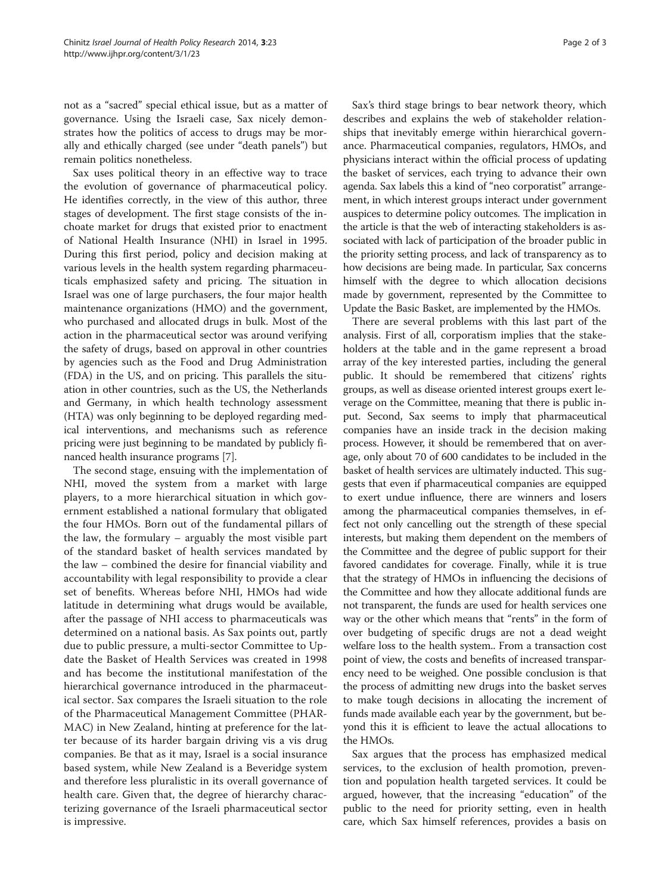not as a "sacred" special ethical issue, but as a matter of governance. Using the Israeli case, Sax nicely demonstrates how the politics of access to drugs may be morally and ethically charged (see under "death panels") but remain politics nonetheless.

Sax uses political theory in an effective way to trace the evolution of governance of pharmaceutical policy. He identifies correctly, in the view of this author, three stages of development. The first stage consists of the inchoate market for drugs that existed prior to enactment of National Health Insurance (NHI) in Israel in 1995. During this first period, policy and decision making at various levels in the health system regarding pharmaceuticals emphasized safety and pricing. The situation in Israel was one of large purchasers, the four major health maintenance organizations (HMO) and the government, who purchased and allocated drugs in bulk. Most of the action in the pharmaceutical sector was around verifying the safety of drugs, based on approval in other countries by agencies such as the Food and Drug Administration (FDA) in the US, and on pricing. This parallels the situation in other countries, such as the US, the Netherlands and Germany, in which health technology assessment (HTA) was only beginning to be deployed regarding medical interventions, and mechanisms such as reference pricing were just beginning to be mandated by publicly financed health insurance programs [\[7](#page-2-0)].

The second stage, ensuing with the implementation of NHI, moved the system from a market with large players, to a more hierarchical situation in which government established a national formulary that obligated the four HMOs. Born out of the fundamental pillars of the law, the formulary – arguably the most visible part of the standard basket of health services mandated by the law – combined the desire for financial viability and accountability with legal responsibility to provide a clear set of benefits. Whereas before NHI, HMOs had wide latitude in determining what drugs would be available, after the passage of NHI access to pharmaceuticals was determined on a national basis. As Sax points out, partly due to public pressure, a multi-sector Committee to Update the Basket of Health Services was created in 1998 and has become the institutional manifestation of the hierarchical governance introduced in the pharmaceutical sector. Sax compares the Israeli situation to the role of the Pharmaceutical Management Committee (PHAR-MAC) in New Zealand, hinting at preference for the latter because of its harder bargain driving vis a vis drug companies. Be that as it may, Israel is a social insurance based system, while New Zealand is a Beveridge system and therefore less pluralistic in its overall governance of health care. Given that, the degree of hierarchy characterizing governance of the Israeli pharmaceutical sector is impressive.

Sax's third stage brings to bear network theory, which describes and explains the web of stakeholder relationships that inevitably emerge within hierarchical governance. Pharmaceutical companies, regulators, HMOs, and physicians interact within the official process of updating the basket of services, each trying to advance their own agenda. Sax labels this a kind of "neo corporatist" arrangement, in which interest groups interact under government auspices to determine policy outcomes. The implication in the article is that the web of interacting stakeholders is associated with lack of participation of the broader public in the priority setting process, and lack of transparency as to how decisions are being made. In particular, Sax concerns himself with the degree to which allocation decisions made by government, represented by the Committee to Update the Basic Basket, are implemented by the HMOs.

There are several problems with this last part of the analysis. First of all, corporatism implies that the stakeholders at the table and in the game represent a broad array of the key interested parties, including the general public. It should be remembered that citizens' rights groups, as well as disease oriented interest groups exert leverage on the Committee, meaning that there is public input. Second, Sax seems to imply that pharmaceutical companies have an inside track in the decision making process. However, it should be remembered that on average, only about 70 of 600 candidates to be included in the basket of health services are ultimately inducted. This suggests that even if pharmaceutical companies are equipped to exert undue influence, there are winners and losers among the pharmaceutical companies themselves, in effect not only cancelling out the strength of these special interests, but making them dependent on the members of the Committee and the degree of public support for their favored candidates for coverage. Finally, while it is true that the strategy of HMOs in influencing the decisions of the Committee and how they allocate additional funds are not transparent, the funds are used for health services one way or the other which means that "rents" in the form of over budgeting of specific drugs are not a dead weight welfare loss to the health system.. From a transaction cost point of view, the costs and benefits of increased transparency need to be weighed. One possible conclusion is that the process of admitting new drugs into the basket serves to make tough decisions in allocating the increment of funds made available each year by the government, but beyond this it is efficient to leave the actual allocations to the HMOs.

Sax argues that the process has emphasized medical services, to the exclusion of health promotion, prevention and population health targeted services. It could be argued, however, that the increasing "education" of the public to the need for priority setting, even in health care, which Sax himself references, provides a basis on